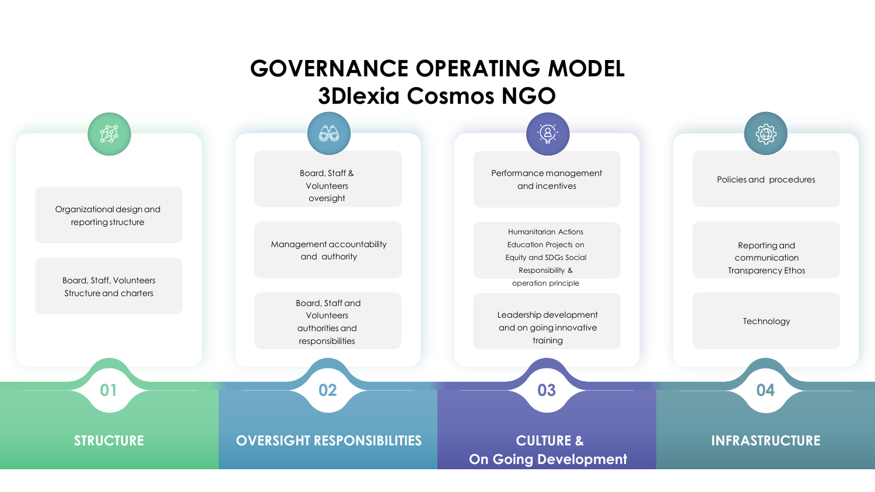## **GOVERNANCE OPERATING MODEL 3Dlexia Cosmos NGO**

| <b>AR</b>                                              | $\circledcirc$                                                        | $-\frac{1}{2}$                                                                                                     | ₩                                                           |
|--------------------------------------------------------|-----------------------------------------------------------------------|--------------------------------------------------------------------------------------------------------------------|-------------------------------------------------------------|
| Organizational design and                              | Board, Staff &<br>Volunteers<br>oversight                             | Performance management<br>and incentives                                                                           | Policies and procedures                                     |
| reporting structure<br><b>Board, Staff, Volunteers</b> | Management accountability<br>and authority                            | Humanitarian Actions<br>Education Projects on<br>Equity and SDGs Social<br>Responsibility &<br>operation principle | Reporting and<br>communication<br><b>Transparency Ethos</b> |
| Structure and charters                                 | Board, Staff and<br>Volunteers<br>authorities and<br>responsibilities | Leadership development<br>and on going innovative<br>training                                                      | Technology                                                  |
| 01                                                     | 02                                                                    | 03                                                                                                                 | 04                                                          |
| <b>STRUCTURE</b>                                       | <b>OVERSIGHT RESPONSIBILITIES</b>                                     | <b>CULTURE &amp;</b><br><b>On Going Development</b>                                                                | <b>INFRASTRUCTURE</b>                                       |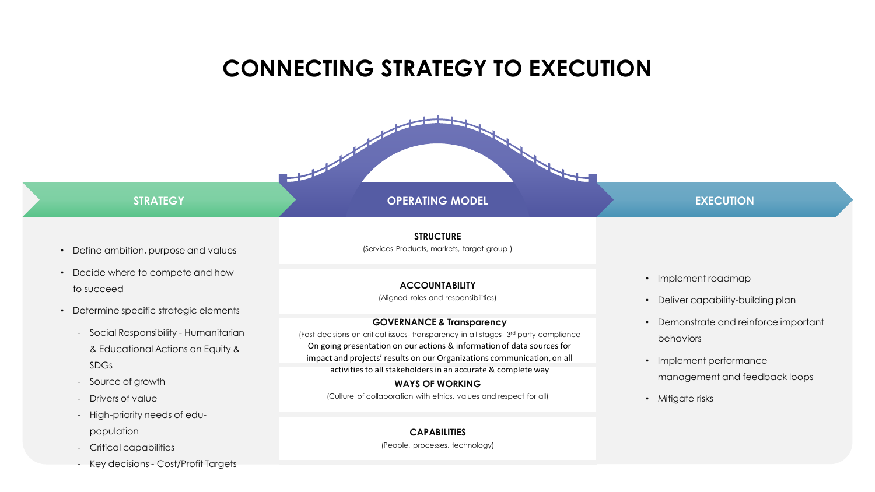## **CONNECTING STRATEGY TO EXECUTION**

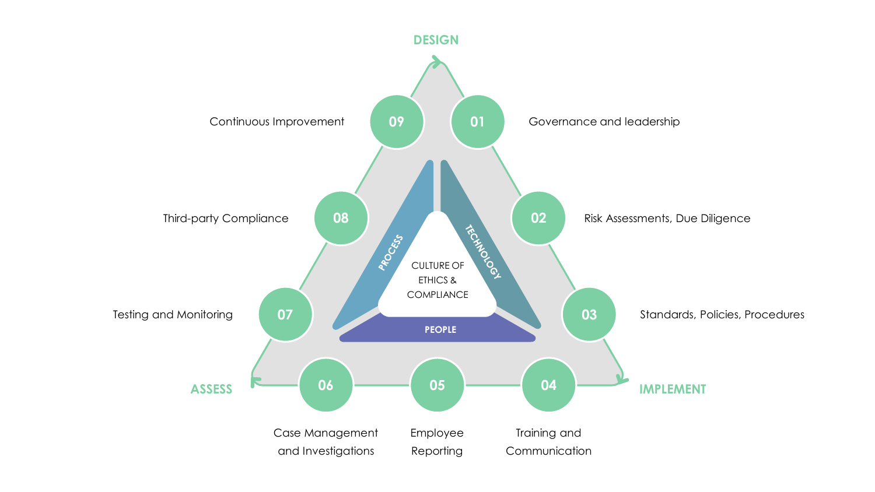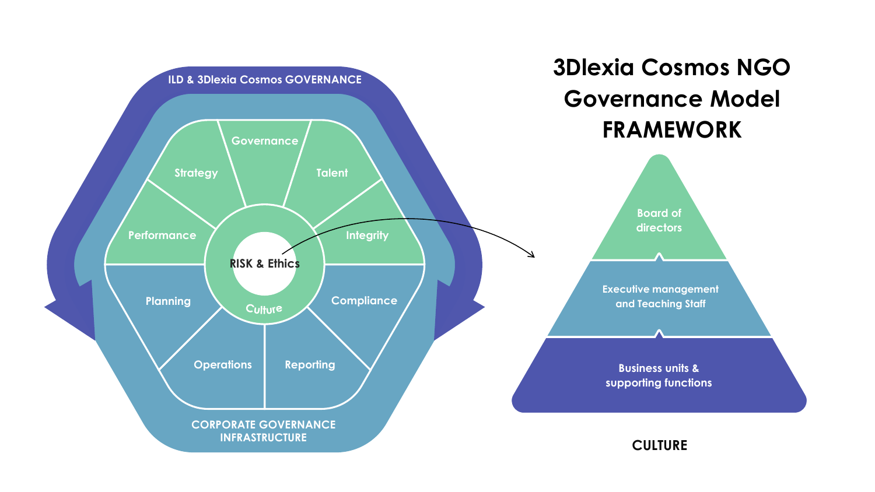